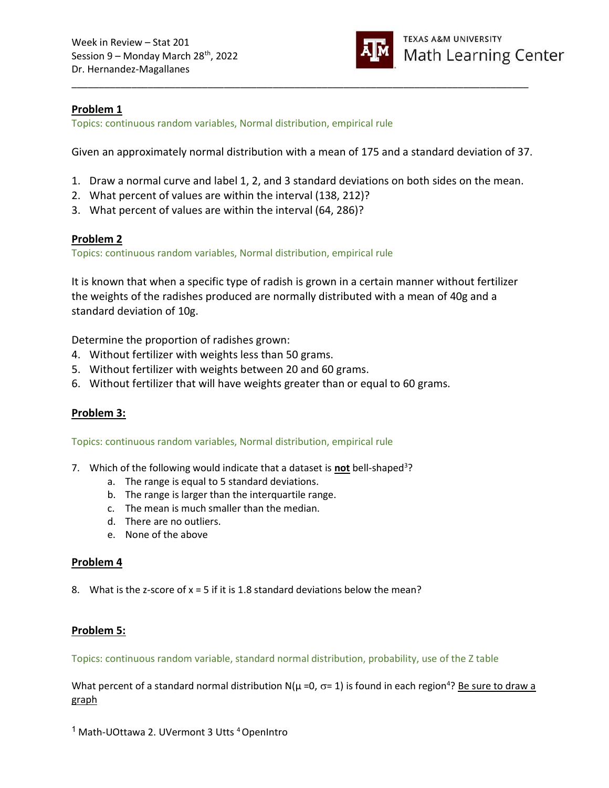

# Problem 1

Topics: continuous random variables, Normal distribution, empirical rule

Given an approximately normal distribution with a mean of 175 and a standard deviation of 37.

\_\_\_\_\_\_\_\_\_\_\_\_\_\_\_\_\_\_\_\_\_\_\_\_\_\_\_\_\_\_\_\_\_\_\_\_\_\_\_\_\_\_\_\_\_\_\_\_\_\_\_\_\_\_\_\_\_\_\_\_\_\_\_\_\_\_\_\_\_\_\_\_\_\_\_\_\_\_\_\_\_\_\_\_

- 1. Draw a normal curve and label 1, 2, and 3 standard deviations on both sides on the mean.
- 2. What percent of values are within the interval (138, 212)?
- 3. What percent of values are within the interval (64, 286)?

# Problem 2

Topics: continuous random variables, Normal distribution, empirical rule

It is known that when a specific type of radish is grown in a certain manner without fertilizer the weights of the radishes produced are normally distributed with a mean of 40g and a standard deviation of 10g.

Determine the proportion of radishes grown:

- 4. Without fertilizer with weights less than 50 grams.
- 5. Without fertilizer with weights between 20 and 60 grams.
- 6. Without fertilizer that will have weights greater than or equal to 60 grams.

# Problem 3:

Topics: continuous random variables, Normal distribution, empirical rule

- 7. Which of the following would indicate that a dataset is not bell-shaped<sup>3</sup>?
	- a. The range is equal to 5 standard deviations.
	- b. The range is larger than the interquartile range.
	- c. The mean is much smaller than the median.
	- d. There are no outliers.
	- e. None of the above

### Problem 4

8. What is the z-score of  $x = 5$  if it is 1.8 standard deviations below the mean?

### Problem 5:

Topics: continuous random variable, standard normal distribution, probability, use of the Z table

What percent of a standard normal distribution N( $\mu$  =0,  $\sigma$ = 1) is found in each region<sup>4</sup>? Be sure to draw a graph

<sup>1</sup> Math-UOttawa 2. UVermont 3 Utts <sup>4</sup> OpenIntro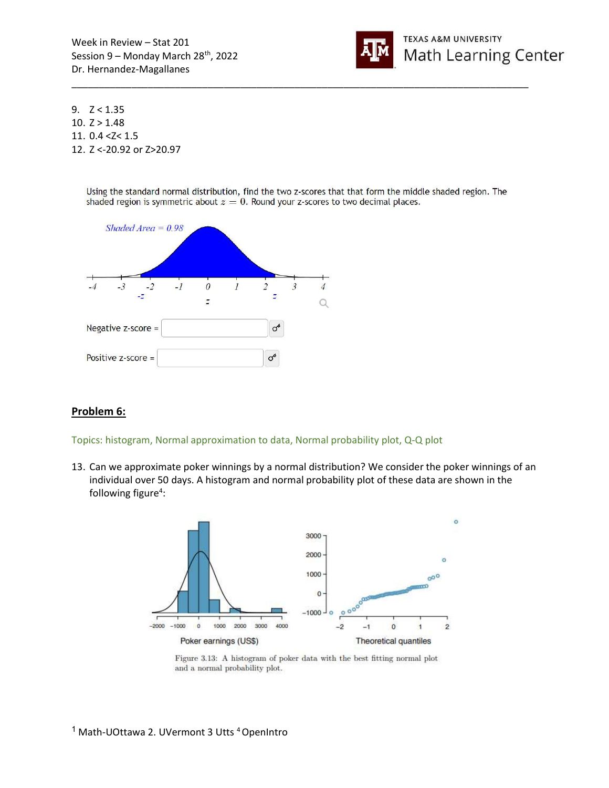

9.  $Z < 1.35$ 10.  $Z > 1.48$ 11. 0.4 <Z< 1.5 12. Z <-20.92 or Z>20.97

> Using the standard normal distribution, find the two z-scores that that form the middle shaded region. The shaded region is symmetric about  $z = 0$ . Round your z-scores to two decimal places.

\_\_\_\_\_\_\_\_\_\_\_\_\_\_\_\_\_\_\_\_\_\_\_\_\_\_\_\_\_\_\_\_\_\_\_\_\_\_\_\_\_\_\_\_\_\_\_\_\_\_\_\_\_\_\_\_\_\_\_\_\_\_\_\_\_\_\_\_\_\_\_\_\_\_\_\_\_\_\_\_\_\_\_\_



### Problem 6:

#### Topics: histogram, Normal approximation to data, Normal probability plot, Q-Q plot

13. Can we approximate poker winnings by a normal distribution? We consider the poker winnings of an individual over 50 days. A histogram and normal probability plot of these data are shown in the following figure<sup>4</sup>:



Figure 3.13: A histogram of poker data with the best fitting normal plot and a normal probability plot.